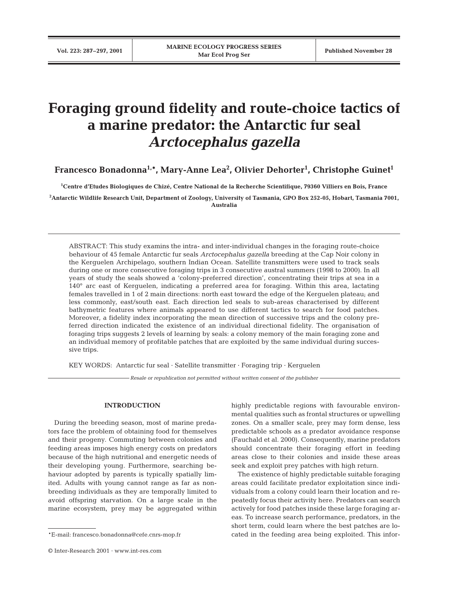# **Foraging ground fidelity and route-choice tactics of a marine predator: the Antarctic fur seal** *Arctocephalus gazella*

**Francesco Bonadonna1,\*, Mary-Anne Lea2 , Olivier Dehorter1 , Christophe Guinet1**

**1 Centre d'Etudes Biologiques de Chizé, Centre National de la Recherche Scientifique, 79360 Villiers en Bois, France**

**2 Antarctic Wildlife Research Unit, Department of Zoology, University of Tasmania, GPO Box 252-05, Hobart, Tasmania 7001, Australia**

ABSTRACT: This study examins the intra- and inter-individual changes in the foraging route-choice behaviour of 45 female Antarctic fur seals *Arctocephalus gazella* breeding at the Cap Noir colony in the Kerguelen Archipelago, southern Indian Ocean. Satellite transmitters were used to track seals during one or more consecutive foraging trips in 3 consecutive austral summers (1998 to 2000). In all years of study the seals showed a 'colony-preferred direction', concentrating their trips at sea in a 140° arc east of Kerguelen, indicating a preferred area for foraging. Within this area, lactating females travelled in 1 of 2 main directions: north east toward the edge of the Kerguelen plateau; and less commonly, east/south east. Each direction led seals to sub-areas characterised by different bathymetric features where animals appeared to use different tactics to search for food patches. Moreover, a fidelity index incorporating the mean direction of successive trips and the colony preferred direction indicated the existence of an individual directional fidelity. The organisation of foraging trips suggests 2 levels of learning by seals: a colony memory of the main foraging zone and an individual memory of profitable patches that are exploited by the same individual during successive trips.

KEY WORDS: Antarctic fur seal · Satellite transmitter · Foraging trip · Kerguelen

*Resale or republication not permitted without written consent of the publisher*

# **INTRODUCTION**

During the breeding season, most of marine predators face the problem of obtaining food for themselves and their progeny. Commuting between colonies and feeding areas imposes high energy costs on predators because of the high nutritional and energetic needs of their developing young. Furthermore, searching behaviour adopted by parents is typically spatially limited. Adults with young cannot range as far as nonbreeding individuals as they are temporally limited to avoid offspring starvation. On a large scale in the marine ecosystem, prey may be aggregated within

highly predictable regions with favourable environmental qualities such as frontal structures or upwelling zones. On a smaller scale, prey may form dense, less predictable schools as a predator avoidance response (Fauchald et al. 2000). Consequently, marine predators should concentrate their foraging effort in feeding areas close to their colonies and inside these areas seek and exploit prey patches with high return.

The existence of highly predictable suitable foraging areas could facilitate predator exploitation since individuals from a colony could learn their location and repeatedly focus their activity here. Predators can search actively for food patches inside these large foraging areas. To increase search performance, predators, in the short term, could learn where the best patches are located in the feeding area being exploited. This infor-

<sup>\*</sup>E-mail: francesco.bonadonna@cefe.cnrs-mop.fr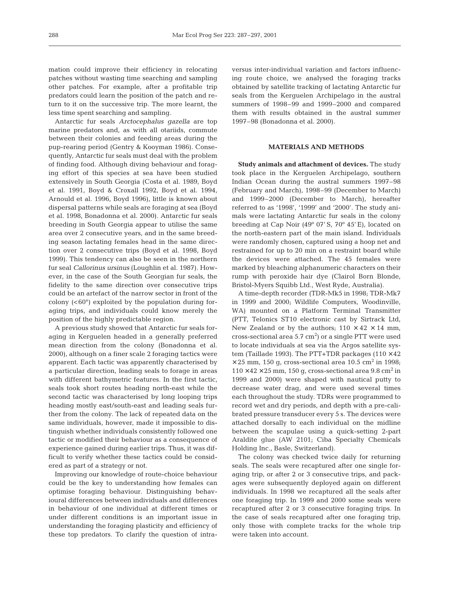mation could improve their efficiency in relocating patches without wasting time searching and sampling other patches. For example, after a profitable trip predators could learn the position of the patch and return to it on the successive trip. The more learnt, the less time spent searching and sampling.

Antarctic fur seals *Arctocephalus gazella* are top marine predators and, as with all otariids, commute between their colonies and feeding areas during the pup-rearing period (Gentry & Kooyman 1986). Consequently, Antarctic fur seals must deal with the problem of finding food. Although diving behaviour and foraging effort of this species at sea have been studied extensively in South Georgia (Costa et al. 1989, Boyd et al. 1991, Boyd & Croxall 1992, Boyd et al. 1994, Arnould et al. 1996, Boyd 1996), little is known about dispersal patterns while seals are foraging at sea (Boyd et al. 1998, Bonadonna et al. 2000). Antarctic fur seals breeding in South Georgia appear to utilise the same area over 2 consecutive years, and in the same breeding season lactating females head in the same direction over 2 consecutive trips (Boyd et al. 1998, Boyd 1999). This tendency can also be seen in the northern fur seal *Callorinus ursinus* (Loughlin et al. 1987). However, in the case of the South Georgian fur seals, the fidelity to the same direction over consecutive trips could be an artefact of the narrow sector in front of the colony  $( $60^{\circ}$ ) exploited by the population during for$ aging trips, and individuals could know merely the position of the highly predictable region.

A previous study showed that Antarctic fur seals foraging in Kerguelen headed in a generally preferred mean direction from the colony (Bonadonna et al. 2000), although on a finer scale 2 foraging tactics were apparent. Each tactic was apparently characterised by a particular direction, leading seals to forage in areas with different bathymetric features. In the first tactic, seals took short routes heading north-east while the second tactic was characterised by long looping trips heading mostly east/south-east and leading seals further from the colony. The lack of repeated data on the same individuals, however, made it impossible to distinguish whether individuals consistently followed one tactic or modified their behaviour as a consequence of experience gained during earlier trips. Thus, it was difficult to verify whether these tactics could be considered as part of a strategy or not.

Improving our knowledge of route-choice behaviour could be the key to understanding how females can optimise foraging behaviour. Distinguishing behavioural differences between individuals and differences in behaviour of one individual at different times or under different conditions is an important issue in understanding the foraging plasticity and efficiency of these top predators. To clarify the question of intra-

versus inter-individual variation and factors influencing route choice, we analysed the foraging tracks obtained by satellite tracking of lactating Antarctic fur seals from the Kerguelen Archipelago in the austral summers of 1998–99 and 1999–2000 and compared them with results obtained in the austral summer 1997–98 (Bonadonna et al. 2000).

# **MATERIALS AND METHODS**

**Study animals and attachment of devices.** The study took place in the Kerguelen Archipelago, southern Indian Ocean during the austral summers 1997–98 (February and March), 1998–99 (December to March) and 1999–2000 (December to March), hereafter referred to as '1998', '1999' and '2000'. The study animals were lactating Antarctic fur seals in the colony breeding at Cap Noir (49º 07' S, 70º 45' E), located on the north-eastern part of the main island. Individuals were randomly chosen, captured using a hoop net and restrained for up to 20 min on a restraint board while the devices were attached. The 45 females were marked by bleaching alphanumeric characters on their rump with peroxide hair dye (Clairol Born Blonde, Bristol-Myers Squibb Ltd., West Ryde, Australia).

A time-depth recorder (TDR-Mk5 in 1998; TDR-Mk7 in 1999 and 2000; Wildlife Computers, Woodinville, WA) mounted on a Platform Terminal Transmitter (PTT, Telonics ST10 electronic cast by Sirtrack Ltd, New Zealand or by the authors;  $110 \times 42 \times 14$  mm, cross-sectional area  $5.7 \text{ cm}^2$ ) or a single PTT were used to locate individuals at sea via the Argos satellite system (Taillade 1993). The PTT+TDR packages  $(110 \times 42)$  $\times$  25 mm, 150 g, cross-sectional area 10.5 cm<sup>2</sup> in 1998;  $110 \times 42 \times 25$  mm, 150 g, cross-sectional area 9.8 cm<sup>2</sup> in 1999 and 2000) were shaped with nautical putty to decrease water drag, and were used several times each throughout the study. TDRs were programmed to record wet and dry periods, and depth with a pre-calibrated pressure transducer every 5 s. The devices were attached dorsally to each individual on the midline between the scapulae using a quick-setting 2-part Araldite glue (AW 2101; Ciba Specialty Chemicals Holding Inc., Basle, Switzerland).

The colony was checked twice daily for returning seals. The seals were recaptured after one single foraging trip, or after 2 or 3 consecutive trips, and packages were subsequently deployed again on different individuals. In 1998 we recaptured all the seals after one foraging trip. In 1999 and 2000 some seals were recaptured after 2 or 3 consecutive foraging trips. In the case of seals recaptured after one foraging trip, only those with complete tracks for the whole trip were taken into account.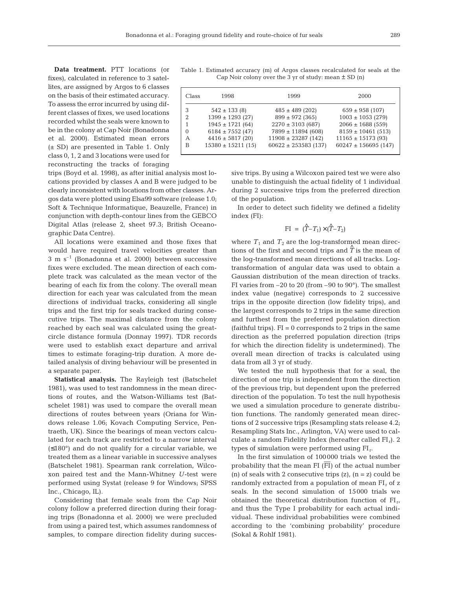**Data treatment.** PTT locations (or fixes), calculated in reference to 3 satellites, are assigned by Argos to 6 classes on the basis of their estimated accuracy. To assess the error incurred by using different classes of fixes, we used locations recorded whilst the seals were known to be in the colony at Cap Noir (Bonadonna et al. 2000). Estimated mean errors (± SD) are presented in Table 1. Only class 0, 1, 2 and 3 locations were used for reconstructing the tracks of foraging

trips (Boyd et al. 1998), as after initial analysis most locations provided by classes A and B were judged to be clearly inconsistent with locations from other classes. Argos data were plotted using Elsa99 software (release 1.0; Soft & Technique Informatique, Beauzelle, France) in conjunction with depth-contour lines from the GEBCO Digital Atlas (release 2, sheet 97.3; British Oceanographic Data Centre).

All locations were examined and those fixes that would have required travel velocities greater than  $3 \text{ m s}^{-1}$  (Bonadonna et al. 2000) between successive fixes were excluded. The mean direction of each complete track was calculated as the mean vector of the bearing of each fix from the colony. The overall mean direction for each year was calculated from the mean directions of individual tracks, considering all single trips and the first trip for seals tracked during consecutive trips. The maximal distance from the colony reached by each seal was calculated using the greatcircle distance formula (Donnay 1997). TDR records were used to establish exact departure and arrival times to estimate foraging-trip duration. A more detailed analysis of diving behaviour will be presented in a separate paper.

**Statistical analysis.** The Rayleigh test (Batschelet 1981), was used to test randomness in the mean directions of routes, and the Watson-Williams test (Batschelet 1981) was used to compare the overall mean directions of routes between years (Oriana for Windows release 1.06; Kovach Computing Service, Pentraeth, UK). Since the bearings of mean vectors calculated for each track are restricted to a narrow interval (≤180°) and do not qualify for a circular variable, we treated them as a linear variable in successive analyses (Batschelet 1981). Spearman rank correlation, Wilcoxon paired test and the Mann-Whitney *U*-test were performed using Systat (release 9 for Windows; SPSS Inc., Chicago, IL).

Considering that female seals from the Cap Noir colony follow a preferred direction during their foraging trips (Bonadonna et al. 2000) we were precluded from using a paired test, which assumes randomness of samples, to compare direction fidelity during succes-

Table 1. Estimated accuracy (m) of Argos classes recalculated for seals at the Cap Noir colony over the 3 yr of study: mean *±* SD (n)

| Class         | 1998                   | 1999                     | 2000                     |
|---------------|------------------------|--------------------------|--------------------------|
| З             | $542 \pm 133$ (8)      | $485 \pm 489$ (202)      | $659 \pm 958$ (107)      |
| $\mathcal{D}$ | $1399 \pm 1293$ (27)   | $899 \pm 972$ (365)      | $1003 \pm 1053$ (279)    |
|               | $1945 \pm 1721$ (64)   | $2270 \pm 3103$ (687)    | $2066 \pm 1688$ (559)    |
| $\Omega$      | $6184 \pm 7552$ (47)   | $7899 \pm 11894$ (608)   | $8159 \pm 10461$ (513)   |
| А             | $4416 \pm 5817$ (20)   | $11908 \pm 23287$ (142)  | $11165 \pm 15173$ (93)   |
| B             | $15380 \pm 15211$ (15) | $60622 \pm 253583$ (137) | $60247 \pm 156695$ (147) |
|               |                        |                          |                          |

sive trips. By using a Wilcoxon paired test we were also unable to distinguish the actual fidelity of 1 individual during 2 successive trips from the preferred direction of the population.

In order to detect such fidelity we defined a fidelity index (FI):

$$
\text{FI} = (\hat{T} - T_1) \times (\hat{T} - T_2)
$$

where  $T_1$  and  $T_2$  are the log-transformed mean directions of the first and second trips and  $\hat{T}$  is the mean of the log-transformed mean directions of all tracks. Logtransformation of angular data was used to obtain a Gaussian distribution of the mean direction of tracks. FI varies from –20 to 20 (from –90 to 90°). The smallest index value (negative) corresponds to 2 successive trips in the opposite direction (low fidelity trips), and the largest corresponds to 2 trips in the same direction and furthest from the preferred population direction  $(faithful trips)$ .  $FI = 0$  corresponds to 2 trips in the same direction as the preferred population direction (trips for which the direction fidelity is undetermined). The overall mean direction of tracks is calculated using data from all 3 yr of study.

We tested the null hypothesis that for a seal, the direction of one trip is independent from the direction of the previous trip, but dependent upon the preferred direction of the population. To test the null hypothesis we used a simulation procedure to generate distribution functions. The randomly generated mean directions of 2 successive trips (Resampling stats release 4.2; Resampling Stats Inc., Arlington, VA) were used to calculate a random Fidelity Index (hereafter called  $FI<sub>r</sub>$ ). 2 types of simulation were performed using FIr.

In the first simulation of 100000 trials we tested the probability that the mean FI (FI) of the actual number (n) of seals with 2 consecutive trips  $(z)$ ,  $(n = z)$  could be randomly extracted from a population of mean  $FI_r$  of z seals. In the second simulation of 15000 trials we obtained the theoretical distribution function of  $FI_{rr}$ and thus the Type I probability for each actual individual. These individual probabilities were combined according to the 'combining probability' procedure (Sokal & Rohlf 1981).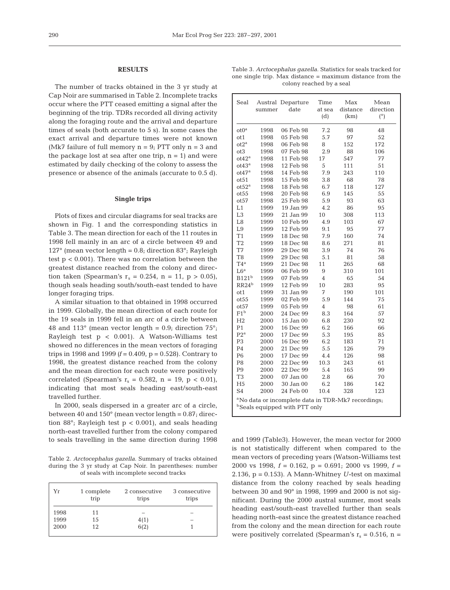#### **RESULTS**

The number of tracks obtained in the 3 yr study at Cap Noir are summarised in Table 2. Incomplete tracks occur where the PTT ceased emitting a signal after the beginning of the trip. TDRs recorded all diving activity along the foraging route and the arrival and departure times of seals (both accurate to 5 s). In some cases the exact arrival and departure times were not known (Mk7 failure of full memory  $n = 9$ ; PTT only  $n = 3$  and the package lost at sea after one trip,  $n = 1$ ) and were estimated by daily checking of the colony to assess the presence or absence of the animals (accurate to 0.5 d).

## **Single trips**

Plots of fixes and circular diagrams for seal tracks are shown in Fig. 1 and the corresponding statistics in Table 3. The mean direction for each of the 11 routes in 1998 fell mainly in an arc of a circle between 49 and 127° (mean vector length =  $0.8$ ; direction  $83^\circ$ ; Rayleigh test  $p < 0.001$ ). There was no correlation between the greatest distance reached from the colony and direction taken (Spearman's  $r_s = 0.254$ ,  $n = 11$ ,  $p > 0.05$ ), though seals heading south/south-east tended to have longer foraging trips.

A similar situation to that obtained in 1998 occurred in 1999. Globally, the mean direction of each route for the 19 seals in 1999 fell in an arc of a circle between 48 and 113 $\degree$  (mean vector length = 0.9; direction 75 $\degree$ ; Rayleigh test p < 0.001). A Watson-Williams test showed no differences in the mean vectors of foraging trips in 1998 and 1999  $(f = 0.409, p = 0.528)$ . Contrary to 1998, the greatest distance reached from the colony and the mean direction for each route were positively correlated (Spearman's  $r_s = 0.582$ ,  $n = 19$ ,  $p < 0.01$ ), indicating that most seals heading east/south-east travelled further.

In 2000, seals dispersed in a greater arc of a circle, between 40 and  $150^{\circ}$  (mean vector length = 0.87; direction 88°; Rayleigh test  $p < 0.001$ ), and seals heading north-east travelled further from the colony compared

Table 2. *Arctocephalus gazella.* Summary of tracks obtained during the 3 yr study at Cap Noir. In parentheses: number of seals with incomplete second tracks

| Yr   | 1 complete<br>trip | 2 consecutive<br>trips | 3 consecutive<br>trips |  |  |
|------|--------------------|------------------------|------------------------|--|--|
| 1998 | 11                 | -                      |                        |  |  |
| 1999 | 15                 | 4(1)                   |                        |  |  |
| 2000 | 12                 | 6(2)                   |                        |  |  |
|      |                    |                        |                        |  |  |

| Table 3. <i>Arctocephalus gazella</i> . Statistics for seals tracked for |  |  |  |  |  |  |  |
|--------------------------------------------------------------------------|--|--|--|--|--|--|--|
| one single trip. Max distance = maximum distance from the                |  |  |  |  |  |  |  |
| colony reached by a seal                                                 |  |  |  |  |  |  |  |

| Seal                                                                                                        | summer | Austral Departure<br>date | Time<br>at sea<br>(d) | Max<br>distance<br>(km) | Mean<br>direction<br>(°) |
|-------------------------------------------------------------------------------------------------------------|--------|---------------------------|-----------------------|-------------------------|--------------------------|
| $ot0^a$                                                                                                     | 1998   | 06 Feb 98                 | 7.2                   | 98                      | 48                       |
| ot1                                                                                                         | 1998   | 05 Feb 98                 | 5.7                   | 97                      | 52                       |
| $ot2^a$                                                                                                     | 1998   | 06 Feb 98                 | 8                     | 152                     | 172                      |
| ot <sub>3</sub>                                                                                             | 1998   | 07 Feb 98                 | 2.9                   | 88                      | 106                      |
| $ot42^a$                                                                                                    | 1998   | 11 Feb 98                 | 17                    | 547                     | 77                       |
| ot43 <sup>a</sup>                                                                                           | 1998   | 12 Feb 98                 | 5                     | 111                     | 51                       |
| $ot47^a$                                                                                                    | 1998   | 14 Feb 98                 | 7.9                   | 243                     | 110                      |
| ot51                                                                                                        | 1998   | 15 Feb 98                 | 3.8                   | 68                      | 78                       |
| ot52 <sup>a</sup>                                                                                           | 1998   | 18 Feb 98                 | 6.7                   | 118                     | 127                      |
| ot55                                                                                                        | 1998   | 20 Feb 98                 | 6.9                   | 145                     | 55                       |
| ot57                                                                                                        | 1998   | 25 Feb 98                 | 5.9                   | 93                      | 63                       |
| L1                                                                                                          | 1999   | 19 Jan 99                 | 4.2                   | 86                      | 95                       |
| L <sub>3</sub>                                                                                              | 1999   | 21 Jan 99                 | 10                    | 308                     | 113                      |
| L8                                                                                                          | 1999   | 10 Feb 99                 | 4.9                   | 103                     | 67                       |
| L9                                                                                                          | 1999   | 12 Feb 99                 | 9.1                   | 95                      | 77                       |
| T1                                                                                                          | 1999   | 18 Dec 98                 | 7.9                   | 160                     | 74                       |
| T2                                                                                                          | 1999   | 18 Dec 98                 | 8.6                   | 271                     | 81                       |
| T7                                                                                                          | 1999   | 29 Dec 98                 | 3.9                   | 74                      | 76                       |
| T <sub>8</sub>                                                                                              | 1999   | 29 Dec 98                 | 5.1                   | 81                      | 58                       |
| $T4^a$                                                                                                      | 1999   | 21 Dec 98                 | 11                    | 265                     | 68                       |
| L6 <sup>a</sup>                                                                                             | 1999   | 06 Feb 99                 | 9                     | 310                     | 101                      |
| B121 <sup>b</sup>                                                                                           | 1999   | 07 Feb 99                 | 4                     | 65                      | 54                       |
| RR24 <sup>b</sup>                                                                                           | 1999   | 12 Feb 99                 | 10                    | 283                     | 95                       |
| ot1                                                                                                         | 1999   | 31 Jan 99                 | 7                     | 190                     | 101                      |
| ot <sub>55</sub>                                                                                            | 1999   | 02 Feb 99                 | 5.9                   | 144                     | 75                       |
| ot57                                                                                                        | 1999   | 05 Feb 99                 | $\overline{4}$        | 98                      | 61                       |
| $F1^b$                                                                                                      | 2000   | 24 Dec 99                 | 8.3                   | 164                     | 57                       |
| H2                                                                                                          | 2000   | 15 Jan 00                 | 6.8                   | 230                     | 92                       |
| P <sub>1</sub>                                                                                              | 2000   | 16 Dec 99                 | 6.2                   | 166                     | 66                       |
| $P2^a$                                                                                                      | 2000   | 17 Dec 99                 | 5.3                   | 195                     | 85                       |
| P3                                                                                                          | 2000   | 16 Dec 99                 | 6.2                   | 183                     | 71                       |
| P <sub>4</sub>                                                                                              | 2000   | 21 Dec 99                 | 5.5                   | 126                     | 79                       |
| P6                                                                                                          | 2000   | 17 Dec 99                 | 4.4                   | 126                     | 98                       |
| P <sub>8</sub>                                                                                              | 2000   | 22 Dec 99                 | 10.3                  | 243                     | 61                       |
| P <sub>9</sub>                                                                                              | 2000   | 22 Dec 99                 | 5.4                   | 165                     | 99                       |
| T <sub>3</sub>                                                                                              | 2000   | 07 Jan 00                 | 2.8                   | 66                      | 70                       |
| H <sub>5</sub>                                                                                              | 2000   | 30 Jan 00                 | 6.2                   | 186                     | 142                      |
| S <sub>4</sub>                                                                                              | 2000   | 24 Feb 00                 | 10.4                  | 328                     | 123                      |
| <sup>a</sup> No data or incomplete data in TDR-Mk7 recordings;<br><sup>b</sup> Seals equipped with PTT only |        |                           |                       |                         |                          |

to seals travelling in the same direction during 1998 and 1999 (Table3). However, the mean vector for 2000 is not statistically different when compared to the mean vectors of preceding years (Watson-Williams test 2000 vs 1998, *f* = 0.162, p = 0.691; 2000 vs 1999, *f* = 2.136,  $p = 0.153$ ). A Mann-Whitney U-test on maximal distance from the colony reached by seals heading between 30 and 90° in 1998, 1999 and 2000 is not significant. During the 2000 austral summer, most seals heading east/south-east travelled further than seals heading north-east since the greatest distance reached from the colony and the mean direction for each route were positively correlated (Spearman's  $r_s = 0.516$ , n =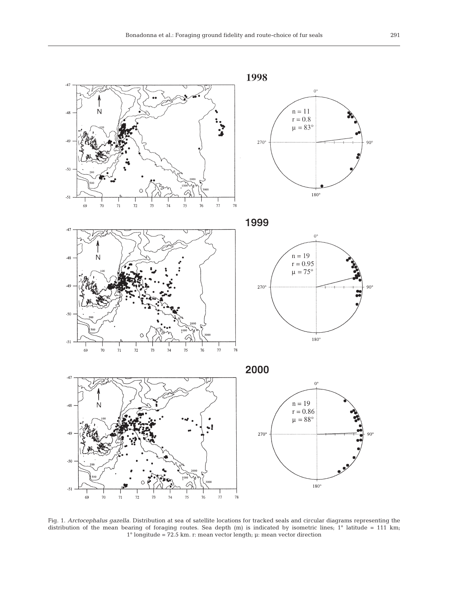

Fig. 1. *Arctocephalus gazella.* Distribution at sea of satellite locations for tracked seals and circular diagrams representing the distribution of the mean bearing of foraging routes. Sea depth  $(m)$  is indicated by isometric lines; 1° latitude = 111 km; 1° longitude = 72.5 km. r: mean vector length; µ: mean vector direction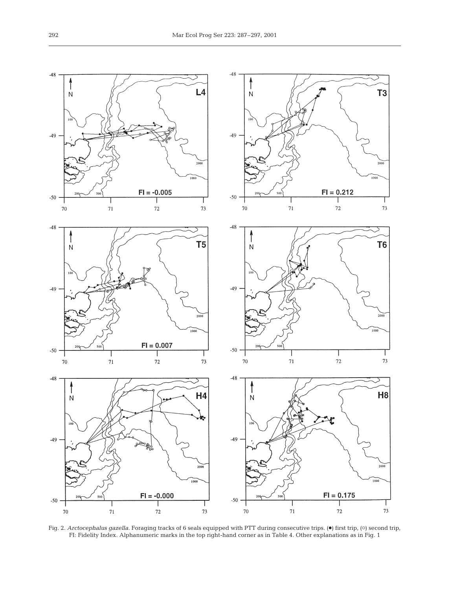

Fig. 2. *Arctocephalus gazella*. Foraging tracks of 6 seals equipped with PTT during consecutive trips. ( $\bullet$ ) first trip, ( $\circ$ ) second trip, FI: Fidelity Index. Alphanumeric marks in the top right-hand corner as in Table 4. Other explanations as in Fig. 1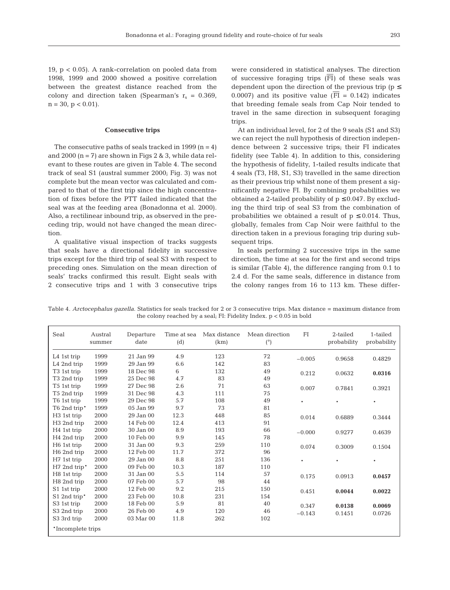19, p < 0.05). A rank-correlation on pooled data from 1998, 1999 and 2000 showed a positive correlation between the greatest distance reached from the colony and direction taken (Spearman's  $r_s = 0.369$ ,  $n = 30$ ,  $p < 0.01$ ).

### **Consecutive trips**

The consecutive paths of seals tracked in 1999 ( $n = 4$ ) and 2000  $(n = 7)$  are shown in Figs 2 & 3, while data relevant to these routes are given in Table 4. The second track of seal S1 (austral summer 2000; Fig. 3) was not complete but the mean vector was calculated and compared to that of the first trip since the high concentration of fixes before the PTT failed indicated that the seal was at the feeding area (Bonadonna et al. 2000). Also, a rectilinear inbound trip, as observed in the preceding trip, would not have changed the mean direction.

A qualitative visual inspection of tracks suggests that seals have a directional fidelity in successive trips except for the third trip of seal S3 with respect to preceding ones. Simulation on the mean direction of seals' tracks confirmed this result. Eight seals with 2 consecutive trips and 1 with 3 consecutive trips

were considered in statistical analyses. The direction of successive foraging trips  $(FI)$  of these seals was dependent upon the direction of the previous trip ( $p \leq$ 0.0007) and its positive value ( $\overline{FI}$  = 0.142) indicates that breeding female seals from Cap Noir tended to travel in the same direction in subsequent foraging trips.

At an individual level, for 2 of the 9 seals (S1 and S3) we can reject the null hypothesis of direction independence between 2 successive trips; their FI indicates fidelity (see Table 4). In addition to this, considering the hypothesis of fidelity, 1-tailed results indicate that 4 seals (T3, H8, S1, S3) travelled in the same direction as their previous trip whilst none of them present a significantly negative FI. By combining probabilities we obtained a 2-tailed probability of  $p \le 0.047$ . By excluding the third trip of seal S3 from the combination of probabilities we obtained a result of  $p \leq 0.014$ . Thus, globally, females from Cap Noir were faithful to the direction taken in a previous foraging trip during subsequent trips.

In seals performing 2 successive trips in the same direction, the time at sea for the first and second trips is similar (Table 4), the difference ranging from 0.1 to 2.4 d. For the same seals, difference in distance from the colony ranges from 16 to 113 km. These differ-

Table 4. *Arctocephalus gazella.* Statistics for seals tracked for 2 or 3 consecutive trips. Max distance = maximum distance from the colony reached by a seal; FI: Fidelity Index. p < 0.05 in bold

| Seal                    | Austral<br>summer | Departure<br>date | Time at sea<br>(d) | Max distance<br>(km) | Mean direction<br>$(^\circ)$ | FI       | 2-tailed<br>probability | 1-tailed<br>probability |
|-------------------------|-------------------|-------------------|--------------------|----------------------|------------------------------|----------|-------------------------|-------------------------|
| L4 1st trip             | 1999              | 21 Jan 99         | 4.9                | 123                  | 72                           | $-0.005$ | 0.9658                  | 0.4829                  |
| L4 2nd trip             | 1999              | 29 Jan 99         | 6.6                | 142                  | 83                           |          |                         |                         |
| T <sub>3</sub> 1st trip | 1999              | 18 Dec 98         | 6                  | 132                  | 49                           | 0.212    | 0.0632                  | 0.0316                  |
| T3 2nd trip             | 1999              | 25 Dec 98         | 4.7                | 83                   | 49                           |          |                         |                         |
| T <sub>5</sub> 1st trip | 1999              | 27 Dec 98         | 2.6                | 71                   | 63                           | 0.007    | 0.7841                  | 0.3921                  |
| T5 2nd trip             | 1999              | 31 Dec 98         | 4.3                | 111                  | 75                           |          |                         |                         |
| T <sub>6</sub> 1st trip | 1999              | 29 Dec 98         | 5.7                | 108                  | 49                           | $\ast$   | $\ast$                  | $\ast$                  |
| T6 2nd trip*            | 1999              | 05 Jan 99         | 9.7                | 73                   | 81                           |          |                         |                         |
| H <sub>3</sub> 1st trip | 2000              | 29 Jan 00         | 12.3               | 448                  | 85                           | 0.014    | 0.6889                  | 0.3444                  |
| H <sub>3</sub> 2nd trip | 2000              | 14 Feb 00         | 12.4               | 413                  | 91                           |          |                         |                         |
| H <sub>4</sub> 1st trip | 2000              | 30 Jan 00         | 8.9                | 193                  | 66                           | $-0.000$ | 0.9277                  | 0.4639                  |
| H <sub>4</sub> 2nd trip | 2000              | 10 Feb 00         | 9.9                | 145                  | 78                           |          |                         |                         |
| H <sub>6</sub> 1st trip | 2000              | 31 Jan 00         | 9.3                | 259                  | 110                          | 0.074    | 0.3009                  | 0.1504                  |
| H <sub>6</sub> 2nd trip | 2000              | 12 Feb 00         | 11.7               | 372                  | 96                           |          |                         |                         |
| H7 1st trip             | 2000              | 29 Jan 00         | 8.8                | 251                  | 136                          | $\ast$   | $\ast$                  | $\ast$                  |
| H7 2nd trip*            | 2000              | 09 Feb 00         | 10.3               | 187                  | 110                          |          |                         |                         |
| H <sub>8</sub> 1st trip | 2000              | 31 Jan 00         | 5.5                | 114                  | 57                           | 0.175    | 0.0913                  | 0.0457                  |
| H8 2nd trip             | 2000              | 07 Feb 00         | 5.7                | 98                   | 44                           |          |                         |                         |
| S1 1st trip             | 2000              | 12 Feb 00         | 9.2                | 215                  | 150                          | 0.451    | 0.0044                  | 0.0022                  |
| S1 2nd trip*            | 2000              | 23 Feb 00         | 10.8               | 231                  | 154                          |          |                         |                         |
| S3 1st trip             | 2000              | 18 Feb 00         | 5.9                | 81                   | 40                           | 0.347    | 0.0138                  | 0.0069                  |
| S3 2nd trip             | 2000              | 26 Feb 00         | 4.9                | 120                  | 46                           | $-0.143$ | 0.1451                  | 0.0726                  |
| S3 3rd trip             | 2000              | 03 Mar 00         | 11.8               | 262                  | 102                          |          |                         |                         |
| *Incomplete trips       |                   |                   |                    |                      |                              |          |                         |                         |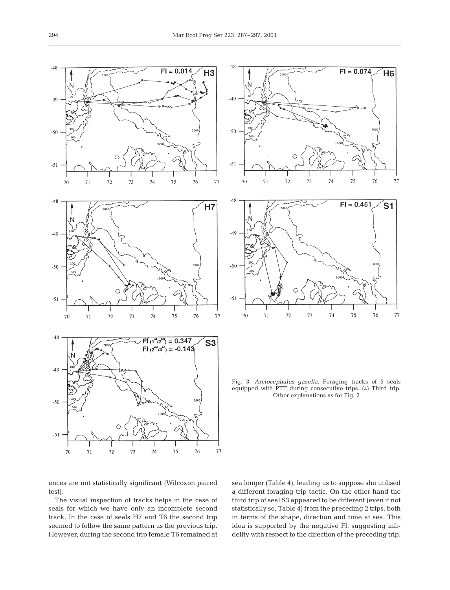



Fig. 3. *Arctocephalus gazella.* Foraging tracks of 5 seals equipped with PTT during consecutive trips.  $(A)$  Third trip. Other explanations as for Fig. 2

 $72$ 

70

71

73

74

76

75

77

ences are not statistically significant (Wilcoxon paired test).

The visual inspection of tracks helps in the case of seals for which we have only an incomplete second track. In the case of seals H7 and T6 the second trip seemed to follow the same pattern as the previous trip. However, during the second trip female T6 remained at sea longer (Table 4), leading us to suppose she utilised a different foraging trip tactic. On the other hand the third trip of seal S3 appeared to be different (even if not statistically so, Table 4) from the preceding 2 trips, both in terms of the shape, direction and time at sea. This idea is supported by the negative FI, suggesting infidelity with respect to the direction of the preceding trip.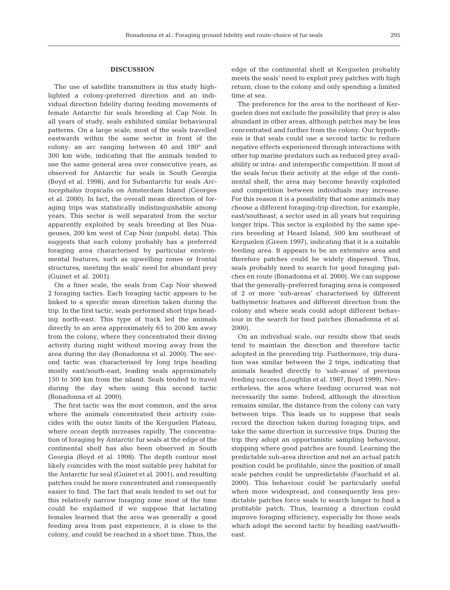#### **DISCUSSION**

The use of satellite transmitters in this study highlighted a colony-preferred direction and an individual direction fidelity during feeding movements of female Antarctic fur seals breeding at Cap Noir. In all years of study, seals exhibited similar behavioural patterns. On a large scale, most of the seals travelled eastwards within the same sector in front of the colony: an arc ranging between 40 and 180° and 300 km wide, indicating that the animals tended to use the same general area over consecutive years, as observed for Antarctic fur seals in South Georgia (Boyd et al. 1998), and for Subantarctic fur seals *Arctocephalus tropicalis* on Amsterdam Island (Georges et al. 2000). In fact, the overall mean direction of foraging trips was statistically indistinguishable among years. This sector is well separated from the sector apparently exploited by seals breeding at Iles Nuageuses, 200 km west of Cap Noir (unpubl. data). This suggests that each colony probably has a preferred foraging area characterised by particular environmental features, such as upwelling zones or frontal structures, meeting the seals' need for abundant prey (Guinet et al. 2001).

On a finer scale, the seals from Cap Noir showed 2 foraging tactics. Each foraging tactic appears to be linked to a specific mean direction taken during the trip. In the first tactic, seals performed short trips heading north-east. This type of track led the animals directly to an area approximately 65 to 200 km away from the colony, where they concentrated their diving activity during night without moving away from the area during the day (Bonadonna et al. 2000). The second tactic was characterised by long trips heading mostly east/south-east, leading seals approximately 150 to 500 km from the island. Seals tended to travel during the day when using this second tactic (Bonadonna et al. 2000).

The first tactic was the most common, and the area where the animals concentrated their activity coincides with the outer limits of the Kerguelen Plateau, where ocean depth increases rapidly. The concentration of foraging by Antarctic fur seals at the edge of the continental shelf has also been observed in South Georgia (Boyd et al. 1998). The depth contour most likely coincides with the most suitable prey habitat for the Antarctic fur seal (Guinet et al. 2001), and resulting patches could be more concentrated and consequently easier to find. The fact that seals tended to set out for this relatively narrow foraging zone most of the time could be explained if we suppose that lactating females learned that the area was generally a good feeding area from past experience, it is close to the colony, and could be reached in a short time. Thus, the

edge of the continental shelf at Kerguelen probably meets the seals' need to exploit prey patches with high return, close to the colony and only spending a limited time at sea.

The preference for the area to the northeast of Kerguelen does not exclude the possibility that prey is also abundant in other areas, although patches may be less concentrated and further from the colony. Our hypothesis is that seals could use a second tactic to reduce negative effects experienced through interactions with other top marine predators such as reduced prey availability or intra- and interspecific competition. If most of the seals focus their activity at the edge of the continental shelf, the area may become heavily exploited and competition between individuals may increase. For this reason it is a possibility that some animals may choose a different foraging-trip direction, for example, east/southeast, a sector used in all years but requiring longer trips. This sector is exploited by the same species breeding at Heard Island, 500 km southeast of Kerguelen (Green 1997), indicating that it is a suitable feeding area. It appears to be an extensive area and therefore patches could be widely dispersed. Thus, seals probably need to search for good foraging patches en route (Bonadonna et al. 2000). We can suppose that the generally-preferred foraging area is composed of 2 or more 'sub-areas' characterised by different bathymetric features and different direction from the colony and where seals could adopt different behaviour in the search for food patches (Bonadonna et al. 2000).

On an individual scale, our results show that seals tend to maintain the direction and therefore tactic adopted in the preceding trip. Furthermore, trip duration was similar between the 2 trips, indicating that animals headed directly to 'sub-areas' of previous feeding success (Loughlin et al. 1987, Boyd 1999). Nevertheless, the area where feeding occurred was not necessarily the same. Indeed, although the direction remains similar, the distance from the colony can vary between trips. This leads us to suppose that seals record the direction taken during foraging trips, and take the same direction in successive trips. During the trip they adopt an opportunistic sampling behaviour, stopping where good patches are found. Learning the predictable sub-area direction and not an actual patch position could be profitable, since the position of small scale patches could be unpredictable (Fauchald et al. 2000). This behaviour could be particularly useful when more widespread, and consequently less predictable patches force seals to search longer to find a profitable patch. Thus, learning a direction could improve foraging efficiency, especially for those seals which adopt the second tactic by heading east/southeast.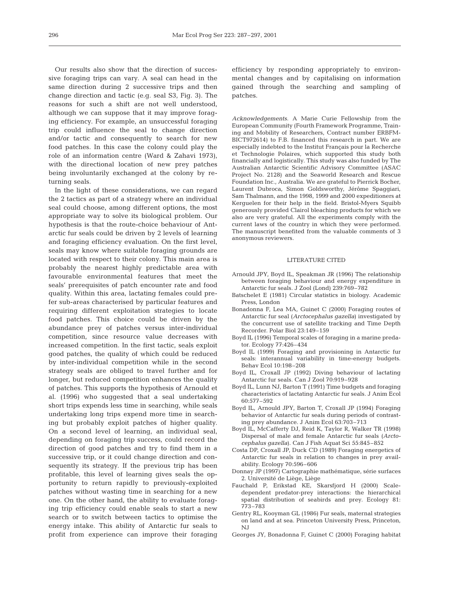Our results also show that the direction of successive foraging trips can vary. A seal can head in the same direction during 2 successive trips and then change direction and tactic (e.g. seal S3, Fig. 3). The reasons for such a shift are not well understood, although we can suppose that it may improve foraging efficiency. For example, an unsuccessful foraging trip could influence the seal to change direction and/or tactic and consequently to search for new food patches. In this case the colony could play the role of an information centre (Ward & Zahavi 1973), with the directional location of new prey patches being involuntarily exchanged at the colony by returning seals.

In the light of these considerations, we can regard the 2 tactics as part of a strategy where an individual seal could choose, among different options, the most appropriate way to solve its biological problem. Our hypothesis is that the route-choice behaviour of Antarctic fur seals could be driven by 2 levels of learning and foraging efficiency evaluation. On the first level, seals may know where suitable foraging grounds are located with respect to their colony. This main area is probably the nearest highly predictable area with favourable environmental features that meet the seals' prerequisites of patch encounter rate and food quality. Within this area, lactating females could prefer sub-areas characterised by particular features and requiring different exploitation strategies to locate food patches. This choice could be driven by the abundance prey of patches versus inter-individual competition, since resource value decreases with increased competition. In the first tactic, seals exploit good patches, the quality of which could be reduced by inter-individual competition while in the second strategy seals are obliged to travel further and for longer, but reduced competition enhances the quality of patches. This supports the hypothesis of Arnould et al. (1996) who suggested that a seal undertaking short trips expends less time in searching, while seals undertaking long trips expend more time in searching but probably exploit patches of higher quality. On a second level of learning, an individual seal, depending on foraging trip success, could record the direction of good patches and try to find them in a successive trip, or it could change direction and consequently its strategy. If the previous trip has been profitable, this level of learning gives seals the opportunity to return rapidly to previously-exploited patches without wasting time in searching for a new one. On the other hand, the ability to evaluate foraging trip efficiency could enable seals to start a new search or to switch between tactics to optimise the energy intake. This ability of Antarctic fur seals to profit from experience can improve their foraging

efficiency by responding appropriately to environmental changes and by capitalising on information gained through the searching and sampling of patches.

*Acknowledgements.* A Marie Curie Fellowship from the European Community (Fourth Framework Programme, Training and Mobility of Researchers, Contract number ERBFM-BICT972614) to F.B. financed this research in part. We are especially indebted to the Institut Français pour la Recherche et Technologie Polaires, which supported this study both financially and logistically. This study was also funded by The Australian Antarctic Scientific Advisory Committee (ASAC Project No. 2128) and the Seaworld Research and Rescue Foundation Inc., Australia. We are grateful to Pierrick Bocher, Laurent Dubroca, Simon Goldsworthy, Jérôme Spaggiari, Sam Thalmann, and the 1998, 1999 and 2000 expeditioners at Kerguelen for their help in the field. Bristol-Myers Squibb generously provided Clairol bleaching products for which we also are very grateful. All the experiments comply with the current laws of the country in which they were performed. The manuscript benefited from the valuable comments of 3 anonymous reviewers.

#### LITERATURE CITED

- Arnould JPY, Boyd IL, Speakman JR (1996) The relationship between foraging behaviour and energy expenditure in Antarctic fur seals. J Zool (Lond) 239:769–782
- Batschelet E (1981) Circular statistics in biology. Academic Press, London
- Bonadonna F, Lea MA, Guinet C (2000) Foraging routes of Antarctic fur seal (*Arctocephalus gazella*) investigated by the concurrent use of satellite tracking and Time Depth Recorder. Polar Biol 23:149–159
- Boyd IL (1996) Temporal scales of foraging in a marine predator. Ecology 77:426–434
- Boyd IL (1999) Foraging and provisioning in Antarctic fur seals: interannual variability in time-energy budgets. Behav Ecol 10:198–208
- Boyd IL, Croxall JP (1992) Diving behaviour of lactating Antarctic fur seals. Can J Zool 70:919–928
- Boyd IL, Lunn NJ, Barton T (1991) Time budgets and foraging characteristics of lactating Antarctic fur seals. J Anim Ecol 60:577–592
- Boyd IL, Arnould JPY, Barton T, Croxall JP (1994) Foraging behavior of Antarctic fur seals during periods of contrasting prey abundance. J Anim Ecol 63:703–713
- Boyd IL, McCafferty DJ, Reid K, Taylor R, Walker TR (1998) Dispersal of male and female Antarctic fur seals (*Arctocephalus gazella*). Can J Fish Aquat Sci 55:845–852
- Costa DP, Croxall JP, Duck CD (1989) Foraging energetics of Antarctic fur seals in relation to changes in prey availability. Ecology 70:596–606
- Donnay JP (1997) Cartographie mathématique, série surfaces 2. Université de Liège, Liège
- Fauchald P, Erikstad KE, Skarsfjord H (2000) Scaledependent predator-prey interactions: the hierarchical spatial distribution of seabirds and prey. Ecology 81: 773–783
- Gentry RL, Kooyman GL (1986) Fur seals, maternal strategies on land and at sea. Princeton University Press, Princeton, NJ
- Georges JY, Bonadonna F, Guinet C (2000) Foraging habitat